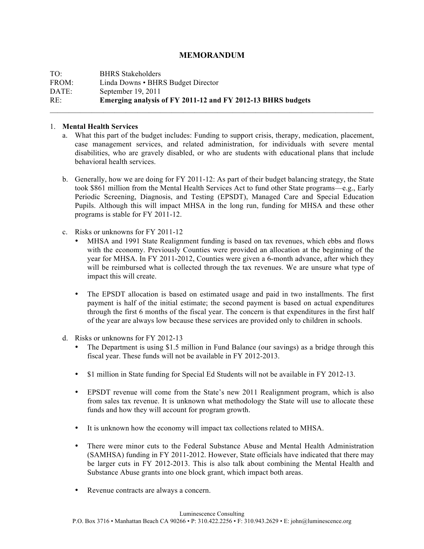# **MEMORANDUM**

| TO <sup>1</sup> | <b>BHRS</b> Stakeholders                                    |
|-----------------|-------------------------------------------------------------|
| FROM:           | Linda Downs • BHRS Budget Director                          |
| DATE:           | September $19, 2011$                                        |
| RE:             | Emerging analysis of FY 2011-12 and FY 2012-13 BHRS budgets |

#### 1. **Mental Health Services**

- a. What this part of the budget includes: Funding to support crisis, therapy, medication, placement, case management services, and related administration, for individuals with severe mental disabilities, who are gravely disabled, or who are students with educational plans that include behavioral health services.
- b. Generally, how we are doing for FY 2011-12: As part of their budget balancing strategy, the State took \$861 million from the Mental Health Services Act to fund other State programs—e.g., Early Periodic Screening, Diagnosis, and Testing (EPSDT), Managed Care and Special Education Pupils. Although this will impact MHSA in the long run, funding for MHSA and these other programs is stable for FY 2011-12.
- c. Risks or unknowns for FY 2011-12
	- MHSA and 1991 State Realignment funding is based on tax revenues, which ebbs and flows with the economy. Previously Counties were provided an allocation at the beginning of the year for MHSA. In FY 2011-2012, Counties were given a 6-month advance, after which they will be reimbursed what is collected through the tax revenues. We are unsure what type of impact this will create.
	- The EPSDT allocation is based on estimated usage and paid in two installments. The first payment is half of the initial estimate; the second payment is based on actual expenditures through the first 6 months of the fiscal year. The concern is that expenditures in the first half of the year are always low because these services are provided only to children in schools.
- d. Risks or unknowns for FY 2012-13
	- The Department is using \$1.5 million in Fund Balance (our savings) as a bridge through this fiscal year. These funds will not be available in FY 2012-2013.
	- \$1 million in State funding for Special Ed Students will not be available in FY 2012-13.
	- EPSDT revenue will come from the State's new 2011 Realignment program, which is also from sales tax revenue. It is unknown what methodology the State will use to allocate these funds and how they will account for program growth.
	- It is unknown how the economy will impact tax collections related to MHSA.
	- There were minor cuts to the Federal Substance Abuse and Mental Health Administration (SAMHSA) funding in FY 2011-2012. However, State officials have indicated that there may be larger cuts in FY 2012-2013. This is also talk about combining the Mental Health and Substance Abuse grants into one block grant, which impact both areas.
	- Revenue contracts are always a concern.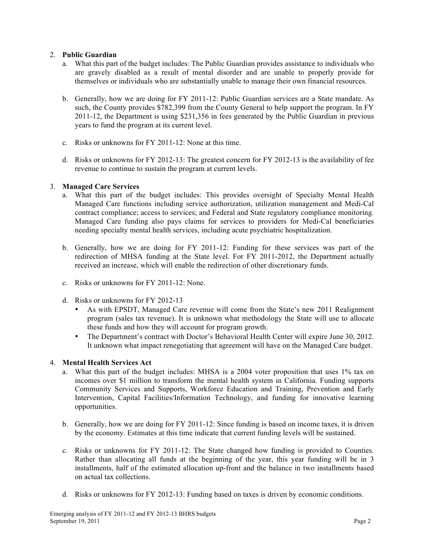## 2. **Public Guardian**

- a. What this part of the budget includes: The Public Guardian provides assistance to individuals who are gravely disabled as a result of mental disorder and are unable to properly provide for themselves or individuals who are substantially unable to manage their own financial resources.
- b. Generally, how we are doing for FY 2011-12: Public Guardian services are a State mandate. As such, the County provides \$782,399 from the County General to help support the program. In FY 2011-12, the Department is using \$231,356 in fees generated by the Public Guardian in previous years to fund the program at its current level.
- c. Risks or unknowns for FY 2011-12: None at this time.
- d. Risks or unknowns for FY 2012-13: The greatest concern for FY 2012-13 is the availability of fee revenue to continue to sustain the program at current levels.

## 3. **Managed Care Services**

- a. What this part of the budget includes: This provides oversight of Specialty Mental Health Managed Care functions including service authorization, utilization management and Medi-Cal contract compliance; access to services; and Federal and State regulatory compliance monitoring. Managed Care funding also pays claims for services to providers for Medi-Cal beneficiaries needing specialty mental health services, including acute psychiatric hospitalization.
- b. Generally, how we are doing for FY 2011-12: Funding for these services was part of the redirection of MHSA funding at the State level. For FY 2011-2012, the Department actually received an increase, which will enable the redirection of other discretionary funds.
- c. Risks or unknowns for FY 2011-12: None.
- d. Risks or unknowns for FY 2012-13
	- As with EPSDT, Managed Care revenue will come from the State's new 2011 Realignment program (sales tax revenue). It is unknown what methodology the State will use to allocate these funds and how they will account for program growth.
	- The Department's contract with Doctor's Behavioral Health Center will expire June 30, 2012. It unknown what impact renegotiating that agreement will have on the Managed Care budget.

## 4. **Mental Health Services Act**

- a. What this part of the budget includes: MHSA is a 2004 voter proposition that uses 1% tax on incomes over \$1 million to transform the mental health system in California. Funding supports Community Services and Supports, Workforce Education and Training, Prevention and Early Intervention, Capital Facilities/Information Technology, and funding for innovative learning opportunities.
- b. Generally, how we are doing for FY 2011-12: Since funding is based on income taxes, it is driven by the economy. Estimates at this time indicate that current funding levels will be sustained.
- c. Risks or unknowns for FY 2011-12: The State changed how funding is provided to Counties. Rather than allocating all funds at the beginning of the year, this year funding will be in 3 installments, half of the estimated allocation up-front and the balance in two installments based on actual tax collections.
- d. Risks or unknowns for FY 2012-13: Funding based on taxes is driven by economic conditions.